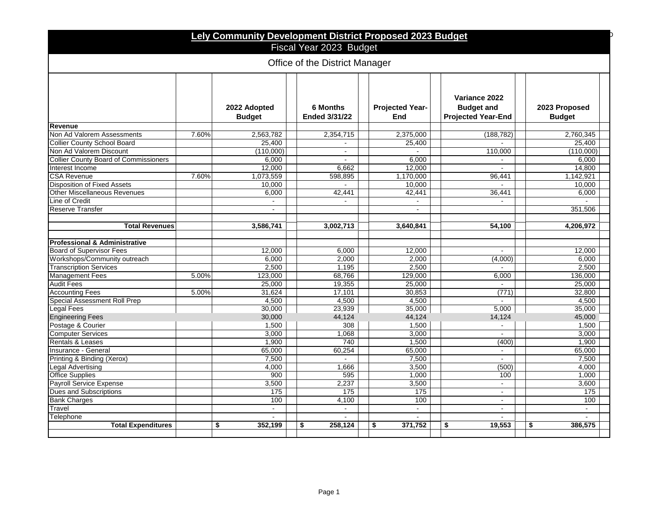| Lely Community Development District Proposed 2023 Budget |       |                               |                                         |                               |                                                                 |                                |
|----------------------------------------------------------|-------|-------------------------------|-----------------------------------------|-------------------------------|-----------------------------------------------------------------|--------------------------------|
| Fiscal Year 2023 Budget                                  |       |                               |                                         |                               |                                                                 |                                |
| Office of the District Manager                           |       |                               |                                         |                               |                                                                 |                                |
|                                                          |       | 2022 Adopted<br><b>Budget</b> | <b>6 Months</b><br><b>Ended 3/31/22</b> | <b>Projected Year-</b><br>End | Variance 2022<br><b>Budget and</b><br><b>Projected Year-End</b> | 2023 Proposed<br><b>Budget</b> |
| Revenue                                                  |       |                               |                                         |                               |                                                                 |                                |
| Non Ad Valorem Assessments                               | 7.60% | 2,563,782                     | 2,354,715                               | 2,375,000                     | (188, 782)                                                      | 2,760,345                      |
| <b>Collier County School Board</b>                       |       | 25,400                        |                                         | 25,400                        |                                                                 | 25,400                         |
| Non Ad Valorem Discount                                  |       | (110,000)                     | $\overline{a}$                          |                               | 110,000                                                         | (110,000)                      |
| <b>Collier County Board of Commissioners</b>             |       | 6,000                         |                                         | 6,000                         |                                                                 | 6,000                          |
| Interest Income                                          |       | 12.000                        | 6.662                                   | 12.000                        | $\mathbf{r}$                                                    | 14.800                         |
| <b>CSA Revenue</b>                                       | 7.60% | 1,073,559                     | 598,895                                 | 1,170,000                     | 96,441                                                          | 1,142,921                      |
| <b>Disposition of Fixed Assets</b>                       |       | 10.000                        | $\omega$                                | 10,000                        | $\sim$                                                          | 10.000                         |
| <b>Other Miscellaneous Revenues</b>                      |       | 6,000                         | 42,441                                  | 42,441                        | 36,441                                                          | 6,000                          |
| Line of Credit                                           |       | $\sim$                        | $\mathbf{r}$                            | $\mathbf{r}$                  | $\sim$                                                          |                                |
| <b>Reserve Transfer</b>                                  |       |                               |                                         | $\blacksquare$                |                                                                 | 351.506                        |
|                                                          |       |                               |                                         |                               |                                                                 |                                |
| <b>Total Revenues</b>                                    |       | 3,586,741                     | 3.002,713                               | 3,640,841                     | 54.100                                                          | 4,206,972                      |
|                                                          |       |                               |                                         |                               |                                                                 |                                |
| <b>Professional &amp; Administrative</b>                 |       |                               |                                         |                               |                                                                 |                                |
| <b>Board of Supervisor Fees</b>                          |       | 12.000                        | 6,000                                   | 12,000                        | $\sim$                                                          | 12,000                         |
| Workshops/Community outreach                             |       | 6.000                         | 2,000                                   | 2,000                         | (4,000)                                                         | 6,000                          |
| <b>Transcription Services</b>                            |       | 2.500                         | 1.195                                   | 2.500                         |                                                                 | 2.500                          |
| <b>Management Fees</b>                                   | 5.00% | 123,000                       | 68,766                                  | 129,000                       | 6,000                                                           | 136,000                        |
| <b>Audit Fees</b>                                        |       | 25,000                        | 19,355                                  | 25,000                        | ÷.                                                              | 25,000                         |
| <b>Accounting Fees</b>                                   | 5.00% | 31,624                        | 17,101                                  | 30,853                        | (771)                                                           | 32,800                         |
| Special Assessment Roll Prep                             |       | 4,500                         | 4,500                                   | 4,500                         | $\mathbf{r}$                                                    | 4,500                          |
| Legal Fees                                               |       | 30,000                        | 23,939                                  | 35,000                        | 5,000                                                           | 35,000                         |
| <b>Engineering Fees</b>                                  |       | 30,000                        | 44,124                                  | 44,124                        | 14,124                                                          | 45,000                         |
| Postage & Courier                                        |       | 1,500                         | 308                                     | 1,500                         | $\mathbf{r}$                                                    | 1,500                          |
| <b>Computer Services</b>                                 |       | 3,000                         | 1,068                                   | 3,000                         |                                                                 | 3,000                          |
| <b>Rentals &amp; Leases</b>                              |       | 1.900                         | 740                                     | 1,500                         | (400)                                                           | 1,900                          |
| Insurance - General                                      |       | 65,000                        | 60,254                                  | 65,000                        | $\sim$                                                          | 65,000                         |
| Printing & Binding (Xerox)                               |       | 7.500                         | ÷.                                      | 7,500                         | $\mathbf{r}$                                                    | 7,500                          |
| Legal Advertising                                        |       | 4.000                         | 1.666                                   | 3,500                         | (500)                                                           | 4.000                          |
| <b>Office Supplies</b>                                   |       | 900                           | 595                                     | 1,000                         | 100                                                             | 1,000                          |
| <b>Payroll Service Expense</b>                           |       | 3,500                         | 2,237                                   | 3,500                         | $\omega$                                                        | 3,600                          |
| Dues and Subscriptions                                   |       | 175                           | 175                                     | 175                           | $\sim$                                                          | 175                            |
| <b>Bank Charges</b>                                      |       | 100                           | 4,100                                   | 100                           |                                                                 | 100                            |
| Travel                                                   |       | $\sim$                        | $\omega$                                | ä,                            | $\mathbf{r}$                                                    | $\mathbf{r}$                   |
| Telephone                                                |       |                               |                                         |                               |                                                                 |                                |
| <b>Total Expenditures</b>                                | \$    | 352,199                       | \$<br>258,124                           | \$<br>371,752                 | 19,553<br>\$                                                    | \$<br>386,575                  |
|                                                          |       |                               |                                         |                               |                                                                 |                                |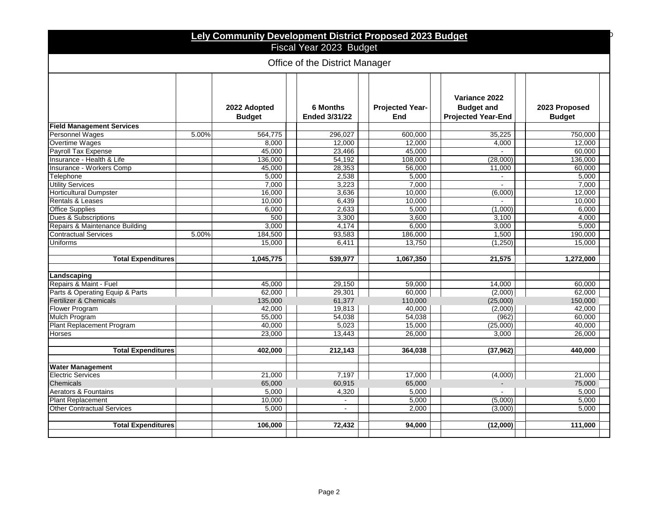| Lely Community Development District Proposed 2023 Budget   |       |           |                |           |                |           |
|------------------------------------------------------------|-------|-----------|----------------|-----------|----------------|-----------|
| Fiscal Year 2023 Budget<br>Office of the District Manager  |       |           |                |           |                |           |
|                                                            |       |           |                |           |                |           |
| <b>Field Management Services</b><br><b>Personnel Wages</b> | 5.00% | 564,775   | 296,027        | 600,000   | 35,225         | 750,000   |
| Overtime Wages                                             |       | 8,000     | 12,000         | 12,000    | 4,000          | 12,000    |
| Payroll Tax Expense                                        |       | 45,000    | 23.466         | 45,000    |                | 60.000    |
| Insurance - Health & Life                                  |       | 136,000   | 54,192         | 108,000   | (28,000)       | 136,000   |
| <b>Insurance - Workers Comp</b>                            |       | 45.000    | 28,353         | 56,000    | 11,000         | 60,000    |
| Telephone                                                  |       | 5.000     | 2,538          | 5,000     |                | 5,000     |
| <b>Utility Services</b>                                    |       | 7,000     | 3,223          | 7,000     | $\blacksquare$ | 7,000     |
| <b>Horticultural Dumpster</b>                              |       | 16,000    | 3,636          | 10,000    | (6,000)        | 12,000    |
| Rentals & Leases                                           |       | 10,000    | 6,439          | 10,000    | $\sim$         | 10,000    |
| <b>Office Supplies</b>                                     |       | 6,000     | 2,633          | 5,000     | (1,000)        | 6,000     |
| Dues & Subscriptions                                       |       | 500       | 3.300          | 3.600     | 3.100          | 4.000     |
| Repairs & Maintenance Building                             |       | 3,000     | 4,174          | 6,000     | 3,000          | 5,000     |
| <b>Contractual Services</b>                                | 5.00% | 184,500   | 93.583         | 186,000   | 1,500          | 190,000   |
| Uniforms                                                   |       | 15.000    | 6.411          | 13.750    | (1.250)        | 15.000    |
|                                                            |       |           |                |           |                |           |
| <b>Total Expenditures</b>                                  |       | 1,045,775 | 539.977        | 1,067,350 | 21.575         | 1,272,000 |
| Landscaping                                                |       |           |                |           |                |           |
| Repairs & Maint - Fuel                                     |       | 45.000    | 29,150         | 59,000    | 14.000         | 60.000    |
| Parts & Operating Equip & Parts                            |       | 62,000    | 29,301         | 60,000    | (2,000)        | 62,000    |
| Fertilizer & Chemicals                                     |       | 135,000   | 61,377         | 110,000   | (25,000)       | 150,000   |
| Flower Program                                             |       | 42,000    | 19,813         | 40,000    | (2,000)        | 42,000    |
| <b>Mulch Program</b>                                       |       | 55,000    | 54,038         | 54,038    | (962)          | 60,000    |
| <b>Plant Replacement Program</b>                           |       | 40,000    | 5,023          | 15,000    | (25,000)       | 40,000    |
| Horses                                                     |       | 23,000    | 13,443         | 26,000    | 3.000          | 26.000    |
|                                                            |       |           |                |           |                |           |
| <b>Total Expenditures</b>                                  |       | 402.000   | 212,143        | 364,038   | (37, 962)      | 440.000   |
| <b>Water Management</b>                                    |       |           |                |           |                |           |
| <b>Electric Services</b>                                   |       | 21.000    | 7,197          | 17.000    | (4,000)        | 21,000    |
| Chemicals                                                  |       | 65,000    | 60,915         | 65,000    | $\overline{a}$ | 75,000    |
| Aerators & Fountains                                       |       | 5,000     | 4,320          | 5,000     |                | 5,000     |
| <b>Plant Replacement</b>                                   |       | 10.000    | $\sim$         | 5.000     | (5,000)        | 5.000     |
| <b>Other Contractual Services</b>                          |       | 5,000     | $\overline{a}$ | 2,000     | (3,000)        | 5.000     |
|                                                            |       |           |                |           |                |           |
| <b>Total Expenditures</b>                                  |       | 106,000   | 72,432         | 94,000    | (12,000)       | 111,000   |
|                                                            |       |           |                |           |                |           |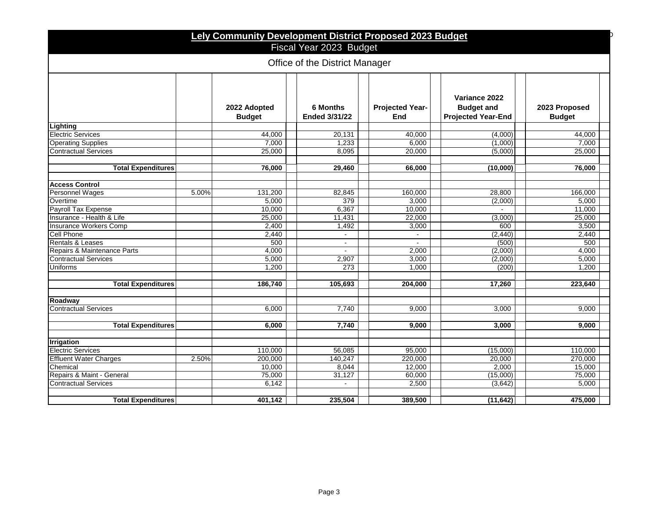| Lely Community Development District Proposed 2023 Budget |                               |                                         |                               |                                                                 |                                |  |
|----------------------------------------------------------|-------------------------------|-----------------------------------------|-------------------------------|-----------------------------------------------------------------|--------------------------------|--|
|                                                          |                               | Fiscal Year 2023 Budget                 |                               |                                                                 |                                |  |
| Office of the District Manager                           |                               |                                         |                               |                                                                 |                                |  |
|                                                          | 2022 Adopted<br><b>Budget</b> | <b>6 Months</b><br><b>Ended 3/31/22</b> | <b>Projected Year-</b><br>End | Variance 2022<br><b>Budget and</b><br><b>Projected Year-End</b> | 2023 Proposed<br><b>Budget</b> |  |
| Lighting                                                 |                               |                                         |                               |                                                                 |                                |  |
| <b>Electric Services</b>                                 | 44,000                        | 20,131                                  | 40,000                        | (4,000)                                                         | 44,000                         |  |
| <b>Operating Supplies</b>                                | 7,000                         | 1,233                                   | 6,000                         | (1,000)                                                         | 7,000                          |  |
| <b>Contractual Services</b>                              | 25,000                        | 8,095                                   | 20,000                        | (5,000)                                                         | 25,000                         |  |
| <b>Total Expenditures</b>                                | 76,000                        | 29,460                                  | 66,000                        | (10,000)                                                        | 76,000                         |  |
| <b>Access Control</b>                                    |                               |                                         |                               |                                                                 |                                |  |
| Personnel Wages                                          | 5.00%<br>131,200              | 82,845                                  | 160,000                       | 28.800                                                          | 166,000                        |  |
| Overtime                                                 | 5.000                         | 379                                     | 3,000                         | (2,000)                                                         | 5.000                          |  |
| Payroll Tax Expense                                      | 10.000                        | 6,367                                   | 10,000                        |                                                                 | 11,000                         |  |
| Insurance - Health & Life                                | 25,000                        | 11,431                                  | 22,000                        | (3,000)                                                         | 25,000                         |  |
| Insurance Workers Comp                                   | 2,400                         | 1,492                                   | 3,000                         | 600                                                             | 3,500                          |  |
| Cell Phone                                               | 2,440                         |                                         |                               | (2, 440)                                                        | 2,440                          |  |
| Rentals & Leases                                         | 500                           | $\sim$                                  | $\mathbf{r}$                  | (500)                                                           | 500                            |  |
| Repairs & Maintenance Parts                              | 4,000                         | $\sim$                                  | 2,000                         | (2,000)                                                         | 4,000                          |  |
| <b>Contractual Services</b>                              | 5,000                         | 2,907                                   | 3,000                         | (2,000)                                                         | 5,000                          |  |
| Uniforms                                                 | 1,200                         | 273                                     | 1,000                         | (200)                                                           | 1,200                          |  |
| <b>Total Expenditures</b>                                | 186.740                       | 105,693                                 | 204,000                       | 17,260                                                          | 223,640                        |  |
| Roadway                                                  |                               |                                         |                               |                                                                 |                                |  |
| <b>Contractual Services</b>                              | 6,000                         | 7,740                                   | 9,000                         | 3,000                                                           | 9,000                          |  |
|                                                          |                               | 7.740                                   |                               |                                                                 |                                |  |
| <b>Total Expenditures</b>                                | 6.000                         |                                         | 9,000                         | 3.000                                                           | 9.000                          |  |
| <b>Irrigation</b>                                        |                               |                                         |                               |                                                                 |                                |  |
| <b>Electric Services</b>                                 | 110,000                       | 56,085                                  | 95.000                        | (15,000)                                                        | 110,000                        |  |
| <b>Effluent Water Charges</b>                            | 2.50%<br>200,000              | 140,247                                 | 220,000                       | 20,000                                                          | 270,000                        |  |
| Chemical                                                 | 10,000                        | 8,044                                   | 12,000                        | 2,000                                                           | 15,000                         |  |
| Repairs & Maint - General                                | 75,000                        | 31,127                                  | 60,000                        | (15,000)                                                        | 75,000                         |  |
| <b>Contractual Services</b>                              | 6,142                         | $\mathbf{r}$                            | 2,500                         | (3,642)                                                         | 5,000                          |  |
| <b>Total Expenditures</b>                                | 401,142                       | 235,504                                 | 389,500                       | (11, 642)                                                       | 475,000                        |  |